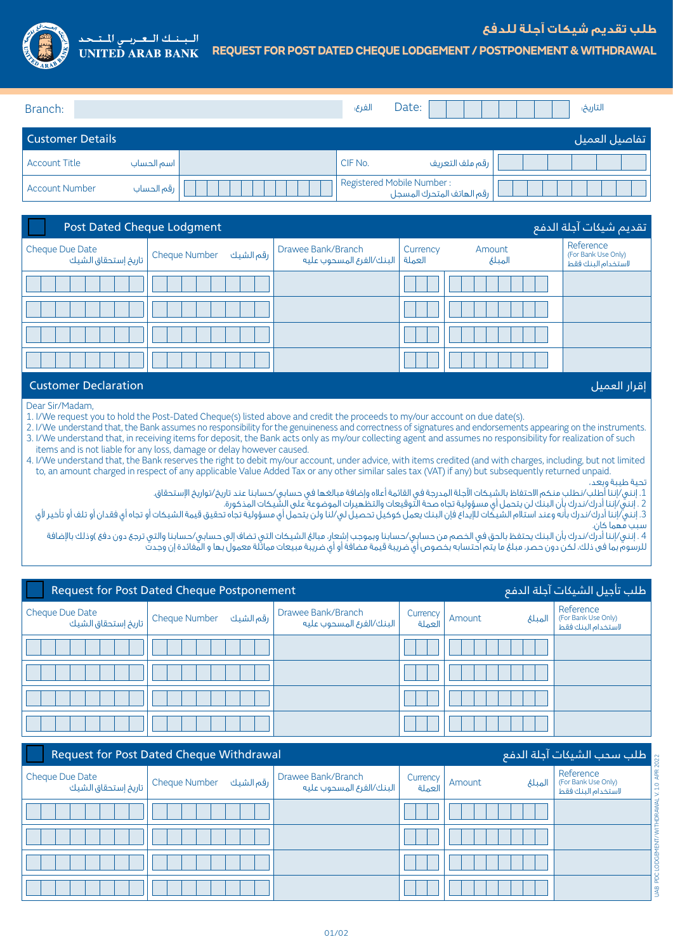

## السبسنسك السعسريسي للست **REQUEST FOR POST DATED CHEQUE LODGEMENT / POSTPONEMENT & WITHDRAWAL UNITED ARAB BANK**

تفاصيل العميل Details Customer التاريخ: :Date الفرع: :Branch

| I Custonier Details   |            |                                                        | _ يقاضين العمين |
|-----------------------|------------|--------------------------------------------------------|-----------------|
| <b>Account Title</b>  | اسم الحساب | CIF No.<br>رقم ملف التعريف                             |                 |
| <b>Account Number</b> | رقم الحساب | Registered Mobile Number:<br>رقم الهاتف المتحرك المسجل |                 |

| Post Dated Cheque Lodgment                             |           |                                                         |          |                  | تقديم شيكات آجلة الدفع                                 |
|--------------------------------------------------------|-----------|---------------------------------------------------------|----------|------------------|--------------------------------------------------------|
| Cheque Due Date<br>Cheque Number   تاريخ إستحقاق الشيك | رقم الشيك | Drawee Bank/Branch<br>العملة   البنك/الفرع المسحوب عليه | Currency | Amount<br>المبلغ | Reference<br>(For Bank Use Only)<br>لاستخدام البنك فقط |
|                                                        |           |                                                         |          |                  |                                                        |
|                                                        |           |                                                         |          |                  |                                                        |
|                                                        |           |                                                         |          |                  |                                                        |
|                                                        |           |                                                         |          |                  |                                                        |

## إقرار العميل Declaration Customer

Dear Sir/Madam,

1. I/We request you to hold the Post-Dated Cheque(s) listed above and credit the proceeds to my/our account on due date(s).

2. I/We understand that, the Bank assumes no responsibility for the genuineness and correctness of signatures and endorsements appearing on the instruments. 3. I/We understand that, in receiving items for deposit, the Bank acts only as my/our collecting agent and assumes no responsibility for realization of such items and is not liable for any loss, damage or delay however caused.

4. I/We understand that, the Bank reserves the right to debit my/our account, under advice, with items credited (and with charges, including, but not limited to, an amount charged in respect of any applicable Value Added Tax or any other similar sales tax (VAT) if any) but subsequently returned unpaid.

تحية طيبة وبعد،

.1 إنني/إننا أطلب/نطلب منكم االحتفاظ بالشيكات اآلجلة المدرجة في القائمة أعاله وإضافة مبالغها في حسابي/حسابنا عند تاريخ/تواريخ اإلستحقاق.

2 . إنني/إننا أدرك/ندرك بأن البنك لن يتحمل أي مسؤولية تجاه صحة التوقيعات والتظهيرات الموضوعة على الشيكات المذكورة.

3. إنني/إننا أدرك/ندرك بأنه وعند استالم الشيكات للإيداع فإن البنك يعمل كوكيل تحصيل لي/لنا ولن يتحمل أي مسؤولية تجاه تحقيق قيمة الشيكات أو تجاه أي فقدان أو تلف أو تلف أو تلف أو تجاه أي فقدان أو تلف أو تلف أو تلف أو تأخير لأ سبب مهما كان.

4 . إنني/إننا أدرك/ندرك بأن البنك يحتفظ بالحق في الخصم من حسابِي/حسابنا وبموجب إشعار، مبالغ الشيكات التي تضاف إلى حسابي/حسابنا والتي ترجع دون دفع )وذلك بالإضافة للرسوم بما فى ذلك، لكن دون حصر، مبلغ ما يتم احتسابه بخصوص أي ضريبة قيمة مضافة أو أي ضريبة مبيعات مماثلة معمول بها و المفائدة إن وجدت

| أطلب تأجيل الشيكات آجلة الدفع<br><b>Request for Post Dated Cheque Postponement</b> |                           |                                                  |                    |                   |                                                        |
|------------------------------------------------------------------------------------|---------------------------|--------------------------------------------------|--------------------|-------------------|--------------------------------------------------------|
| Cheque Due Date<br>أ تاريخ إستحقاق الشيك                                           | رقم الشيك   Cheque Number | Drawee Bank/Branch<br>، البنك/الغرع المسحوب عليه | Currency<br>العملة | Amount<br>المتلئم | Reference<br>(For Bank Use Only)<br>لاستخدام البنك فقط |
|                                                                                    |                           |                                                  |                    |                   |                                                        |
|                                                                                    |                           |                                                  |                    |                   |                                                        |
|                                                                                    |                           |                                                  |                    |                   |                                                        |
|                                                                                    |                           |                                                  |                    |                   |                                                        |

| طلب سحب الشيكات آجلة الدفع<br><b>Request for Post Dated Cheque Withdrawal</b> |  |                                                |                    |        |        |                                                        |
|-------------------------------------------------------------------------------|--|------------------------------------------------|--------------------|--------|--------|--------------------------------------------------------|
|                                                                               |  | Drawee Bank/Branch<br>البنك/الغرع المسحوب عليه | Currency<br>العملة | Amount | الميلغ | Reference<br>(For Bank Use Only)<br>لاستخدام البنك فقط |
|                                                                               |  |                                                |                    |        |        |                                                        |
|                                                                               |  |                                                |                    |        |        |                                                        |
|                                                                               |  |                                                |                    |        |        |                                                        |
|                                                                               |  |                                                |                    |        |        | Ξ                                                      |